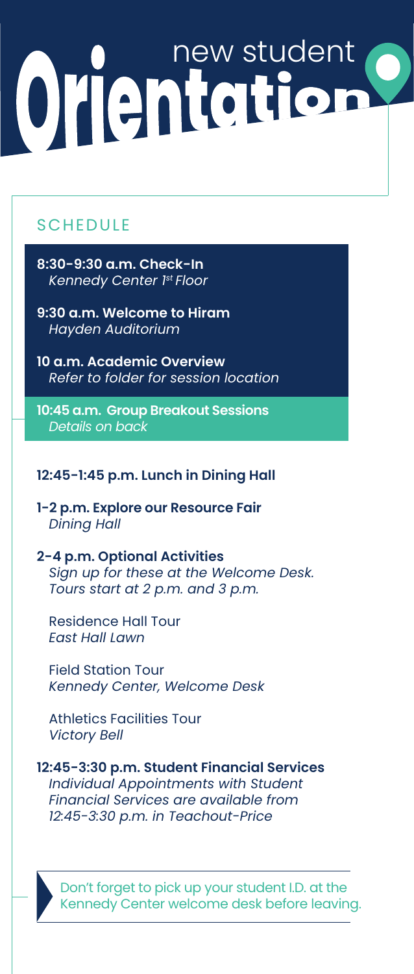# Orlentation

# **SCHEDULE**

- **8:30-9:30 a.m. Check-In** *Kennedy Center 1st Floor*
- **9:30 a.m. Welcome to Hiram** *Hayden Auditorium*
- **10 a.m. Academic Overview** *Refer to folder for session location*
- **10:45 a.m. Group Breakout Sessions** *Details on back*

### **12:45-1:45 p.m. Lunch in Dining Hall**

- **1-2 p.m. Explore our Resource Fair**  *Dining Hall*
- **2-4 p.m. Optional Activities** *Sign up for these at the Welcome Desk. Tours start at 2 p.m. and 3 p.m.*
	- Residence Hall Tour *East Hall Lawn*
	- Field Station Tour *Kennedy Center, Welcome Desk*
	- Athletics Facilities Tour *Victory Bell*
- **12:45-3:30 p.m. Student Financial Services** *Individual Appointments with Student Financial Services are available from 12:45-3:30 p.m. in Teachout-Price*